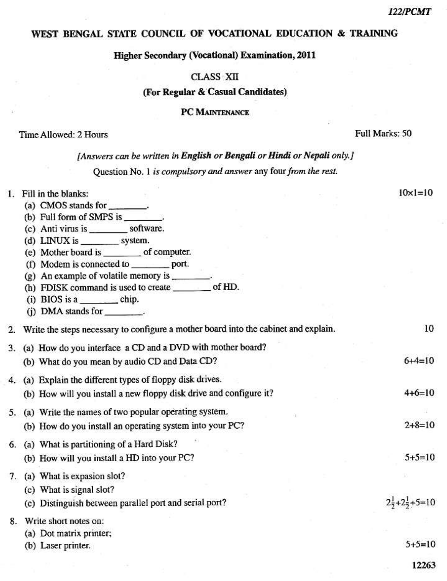# WEST BENGAL STATE COUNCIL OF VOCATIONAL EDUCATION & TRAINING

# **Higher Secondary (Vocational) Examination, 2011**

# CLASS XII

# (For Regular & Casual Candidates)

### PC MAINTENANCE

### Time Allowed: 2 Hours

Full Marks: 50

| [Answers can be written in English or Bengali or Hindi or Nepali only.] |  |
|-------------------------------------------------------------------------|--|
|-------------------------------------------------------------------------|--|

Question No. 1 is compulsory and answer any four from the rest.

| 1. | Fill in the blanks:                                                                 | $10 \times 1 = 10$               |
|----|-------------------------------------------------------------------------------------|----------------------------------|
|    | (a) CMOS stands for _______.                                                        |                                  |
|    | (b) Full form of SMPS is _______                                                    |                                  |
|    | (c) Anti virus is __________ software.                                              |                                  |
|    | (d) LINUX is __________ system.                                                     |                                  |
|    | (e) Mother board is ________ of computer.                                           |                                  |
|    | (f) Modem is connected to __________ port.                                          |                                  |
|    | $(g)$ An example of volatile memory is _______.                                     |                                  |
|    | (h) FDISK command is used to create ________ of HD.                                 |                                  |
|    | $(i)$ BIOS is a _________ chip.                                                     |                                  |
|    | (i) DMA stands for $\_\_\_\_\$ .                                                    |                                  |
| 2. | Write the steps necessary to configure a mother board into the cabinet and explain. | 10                               |
|    | 3. (a) How do you interface a CD and a DVD with mother board?                       |                                  |
|    | (b) What do you mean by audio CD and Data CD?                                       | $6+4=10$                         |
|    | 4. (a) Explain the different types of floppy disk drives.                           |                                  |
|    | (b) How will you install a new floppy disk drive and configure it?                  | $4+6=10$                         |
|    | 5. (a) Write the names of two popular operating system.                             |                                  |
|    | (b) How do you install an operating system into your PC?                            | $2+8=10$                         |
|    | 6. (a) What is partitioning of a Hard Disk?                                         |                                  |
|    | (b) How will you install a HD into your PC?                                         | $5+5=10$                         |
| 7. | (a) What is expasion slot?                                                          |                                  |
|    | (c) What is signal slot?                                                            |                                  |
|    | (c) Distinguish between parallel port and serial port?                              | $2\frac{1}{2}+2\frac{1}{2}+5=10$ |
|    | 8. Write short notes on:                                                            |                                  |
|    | (a) Dot matrix printer;                                                             |                                  |
|    | (b) Laser printer.                                                                  | $5+5=10$                         |
|    |                                                                                     | 12263                            |